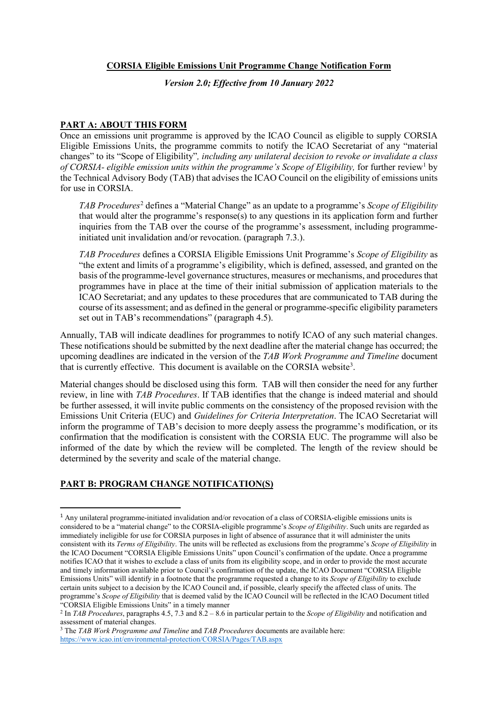## **CORSIA Eligible Emissions Unit Programme Change Notification Form**

*Version 2.0; Effective from 10 January 2022*

## **PART A: ABOUT THIS FORM**

Once an emissions unit programme is approved by the ICAO Council as eligible to supply CORSIA Eligible Emissions Units, the programme commits to notify the ICAO Secretariat of any "material changes" to its "Scope of Eligibility"*, including any unilateral decision to revoke or invalidate a class of CORSIA- eligible emission units within the programme's Scope of Eligibility,* for further review[1](#page-0-0) by the Technical Advisory Body (TAB) that advises the ICAO Council on the eligibility of emissions units for use in CORSIA.

*TAB Procedures*[2](#page-0-1) defines a "Material Change" as an update to a programme's *Scope of Eligibility* that would alter the programme's response(s) to any questions in its application form and further inquiries from the TAB over the course of the programme's assessment, including programmeinitiated unit invalidation and/or revocation. (paragraph 7.3.).

*TAB Procedures* defines a CORSIA Eligible Emissions Unit Programme's *Scope of Eligibility* as "the extent and limits of a programme's eligibility, which is defined, assessed, and granted on the basis of the programme-level governance structures, measures or mechanisms, and procedures that programmes have in place at the time of their initial submission of application materials to the ICAO Secretariat; and any updates to these procedures that are communicated to TAB during the course of its assessment; and as defined in the general or programme-specific eligibility parameters set out in TAB's recommendations" (paragraph 4.5).

Annually, TAB will indicate deadlines for programmes to notify ICAO of any such material changes. These notifications should be submitted by the next deadline after the material change has occurred; the upcoming deadlines are indicated in the version of the *TAB Work Programme and Timeline* document that is currently effective. This document is available on the CORSIA website<sup>[3](#page-0-2)</sup>.

Material changes should be disclosed using this form. TAB will then consider the need for any further review, in line with *TAB Procedures*. If TAB identifies that the change is indeed material and should be further assessed, it will invite public comments on the consistency of the proposed revision with the Emissions Unit Criteria (EUC) and *Guidelines for Criteria Interpretation*. The ICAO Secretariat will inform the programme of TAB's decision to more deeply assess the programme's modification, or its confirmation that the modification is consistent with the CORSIA EUC. The programme will also be informed of the date by which the review will be completed. The length of the review should be determined by the severity and scale of the material change.

## **PART B: PROGRAM CHANGE NOTIFICATION(S)**

<span id="page-0-0"></span> <sup>1</sup> Any unilateral programme-initiated invalidation and/or revocation of a class of CORSIA-eligible emissions units is considered to be a "material change" to the CORSIA-eligible programme's *Scope of Eligibility*. Such units are regarded as immediately ineligible for use for CORSIA purposes in light of absence of assurance that it will administer the units consistent with its *Terms of Eligibility*. The units will be reflected as exclusions from the programme's *Scope of Eligibility* in the ICAO Document "CORSIA Eligible Emissions Units" upon Council's confirmation of the update. Once a programme notifies ICAO that it wishes to exclude a class of units from its eligibility scope, and in order to provide the most accurate and timely information available prior to Council's confirmation of the update, the ICAO Document "CORSIA Eligible Emissions Units" will identify in a footnote that the programme requested a change to its *Scope of Eligibility* to exclude certain units subject to a decision by the ICAO Council and, if possible, clearly specify the affected class of units. The programme's *Scope of Eligibility* that is deemed valid by the ICAO Council will be reflected in the ICAO Document titled "CORSIA Eligible Emissions Units" in a timely manner

<span id="page-0-1"></span><sup>2</sup> In *TAB Procedures*, paragraphs 4.5, 7.3 and 8.2 – 8.6 in particular pertain to the *Scope of Eligibility* and notification and assessment of material changes. 3 The *TAB Work Programme and Timeline* and *TAB Procedures* documents are available here:

<span id="page-0-2"></span><https://www.icao.int/environmental-protection/CORSIA/Pages/TAB.aspx>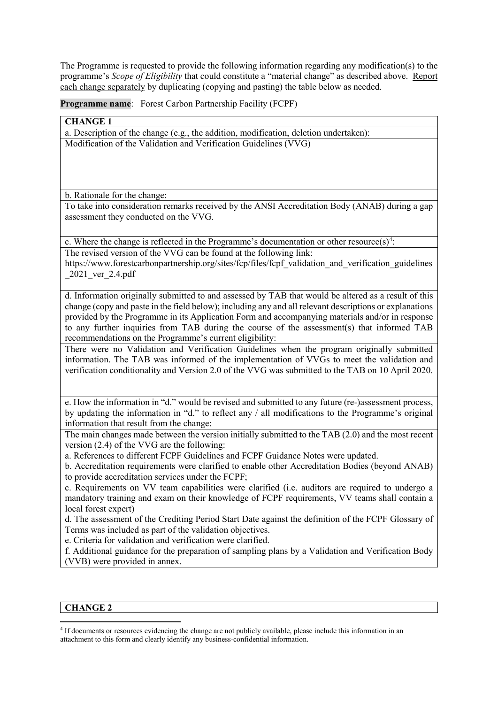The Programme is requested to provide the following information regarding any modification(s) to the programme's *Scope of Eligibility* that could constitute a "material change" as described above. Report each change separately by duplicating (copying and pasting) the table below as needed.

**Programme name**: Forest Carbon Partnership Facility (FCPF)

| <b>CHANGE 1</b>                                                                                                                                                                                                                                                                                                                                                                                                                                                             |
|-----------------------------------------------------------------------------------------------------------------------------------------------------------------------------------------------------------------------------------------------------------------------------------------------------------------------------------------------------------------------------------------------------------------------------------------------------------------------------|
| a. Description of the change (e.g., the addition, modification, deletion undertaken):                                                                                                                                                                                                                                                                                                                                                                                       |
| Modification of the Validation and Verification Guidelines (VVG)                                                                                                                                                                                                                                                                                                                                                                                                            |
| b. Rationale for the change:                                                                                                                                                                                                                                                                                                                                                                                                                                                |
| To take into consideration remarks received by the ANSI Accreditation Body (ANAB) during a gap<br>assessment they conducted on the VVG.                                                                                                                                                                                                                                                                                                                                     |
| c. Where the change is reflected in the Programme's documentation or other resource(s) <sup>4</sup> :                                                                                                                                                                                                                                                                                                                                                                       |
| The revised version of the VVG can be found at the following link:<br>https://www.forestcarbonpartnership.org/sites/fcp/files/fcpf validation and verification guidelines<br>2021 ver 2.4.pdf                                                                                                                                                                                                                                                                               |
| d. Information originally submitted to and assessed by TAB that would be altered as a result of this<br>change (copy and paste in the field below); including any and all relevant descriptions or explanations<br>provided by the Programme in its Application Form and accompanying materials and/or in response<br>to any further inquiries from TAB during the course of the assessment(s) that informed TAB<br>recommendations on the Programme's current eligibility: |
| There were no Validation and Verification Guidelines when the program originally submitted<br>information. The TAB was informed of the implementation of VVGs to meet the validation and<br>verification conditionality and Version 2.0 of the VVG was submitted to the TAB on 10 April 2020.                                                                                                                                                                               |
| e. How the information in "d." would be revised and submitted to any future (re-)assessment process,<br>by updating the information in "d." to reflect any / all modifications to the Programme's original<br>information that result from the change:                                                                                                                                                                                                                      |
| The main changes made between the version initially submitted to the TAB (2.0) and the most recent<br>version $(2.4)$ of the VVG are the following:                                                                                                                                                                                                                                                                                                                         |
| a. References to different FCPF Guidelines and FCPF Guidance Notes were updated.<br>b. Accreditation requirements were clarified to enable other Accreditation Bodies (beyond ANAB)<br>to provide accreditation services under the FCPF;                                                                                                                                                                                                                                    |
| c. Requirements on VV team capabilities were clarified ( <i>i.e.</i> auditors are required to undergo a<br>mandatory training and exam on their knowledge of FCPF requirements, VV teams shall contain a<br>local forest expert)                                                                                                                                                                                                                                            |
| d. The assessment of the Crediting Period Start Date against the definition of the FCPF Glossary of<br>Terms was included as part of the validation objectives.<br>e. Criteria for validation and verification were clarified.                                                                                                                                                                                                                                              |
| f. Additional guidance for the preparation of sampling plans by a Validation and Verification Body<br>(VVB) were provided in annex.                                                                                                                                                                                                                                                                                                                                         |

## **CHANGE 2**

 $\overline{\phantom{a}}$ 

<span id="page-1-0"></span><sup>4</sup> If documents or resources evidencing the change are not publicly available, please include this information in an attachment to this form and clearly identify any business-confidential information.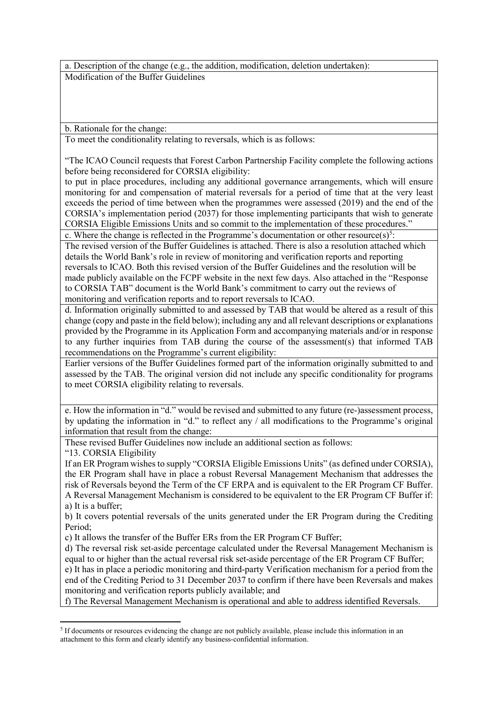a. Description of the change (e.g., the addition, modification, deletion undertaken): Modification of the Buffer Guidelines

b. Rationale for the change:

To meet the conditionality relating to reversals, which is as follows:

"The ICAO Council requests that Forest Carbon Partnership Facility complete the following actions before being reconsidered for CORSIA eligibility:

to put in place procedures, including any additional governance arrangements, which will ensure monitoring for and compensation of material reversals for a period of time that at the very least exceeds the period of time between when the programmes were assessed (2019) and the end of the CORSIA's implementation period (2037) for those implementing participants that wish to generate CORSIA Eligible Emissions Units and so commit to the implementation of these procedures."

c. Where the change is reflected in the Programme's documentation or other resource(s)<sup>[5](#page-2-0)</sup>:

The revised version of the Buffer Guidelines is attached. There is also a resolution attached which details the World Bank's role in review of monitoring and verification reports and reporting reversals to ICAO. Both this revised version of the Buffer Guidelines and the resolution will be made publicly available on the FCPF website in the next few days. Also attached in the "Response to CORSIA TAB" document is the World Bank's commitment to carry out the reviews of monitoring and verification reports and to report reversals to ICAO.

d. Information originally submitted to and assessed by TAB that would be altered as a result of this change (copy and paste in the field below); including any and all relevant descriptions or explanations provided by the Programme in its Application Form and accompanying materials and/or in response to any further inquiries from TAB during the course of the assessment(s) that informed TAB recommendations on the Programme's current eligibility:

Earlier versions of the Buffer Guidelines formed part of the information originally submitted to and assessed by the TAB. The original version did not include any specific conditionality for programs to meet CORSIA eligibility relating to reversals.

e. How the information in "d." would be revised and submitted to any future (re-)assessment process, by updating the information in "d." to reflect any / all modifications to the Programme's original information that result from the change:

These revised Buffer Guidelines now include an additional section as follows:

"13. CORSIA Eligibility

 $\overline{\phantom{a}}$ 

If an ER Program wishes to supply "CORSIA Eligible Emissions Units" (as defined under CORSIA), the ER Program shall have in place a robust Reversal Management Mechanism that addresses the risk of Reversals beyond the Term of the CF ERPA and is equivalent to the ER Program CF Buffer. A Reversal Management Mechanism is considered to be equivalent to the ER Program CF Buffer if: a) It is a buffer;

b) It covers potential reversals of the units generated under the ER Program during the Crediting Period;

c) It allows the transfer of the Buffer ERs from the ER Program CF Buffer;

d) The reversal risk set-aside percentage calculated under the Reversal Management Mechanism is equal to or higher than the actual reversal risk set-aside percentage of the ER Program CF Buffer;

e) It has in place a periodic monitoring and third-party Verification mechanism for a period from the end of the Crediting Period to 31 December 2037 to confirm if there have been Reversals and makes monitoring and verification reports publicly available; and

f) The Reversal Management Mechanism is operational and able to address identified Reversals.

<span id="page-2-0"></span><sup>&</sup>lt;sup>5</sup> If documents or resources evidencing the change are not publicly available, please include this information in an attachment to this form and clearly identify any business-confidential information.